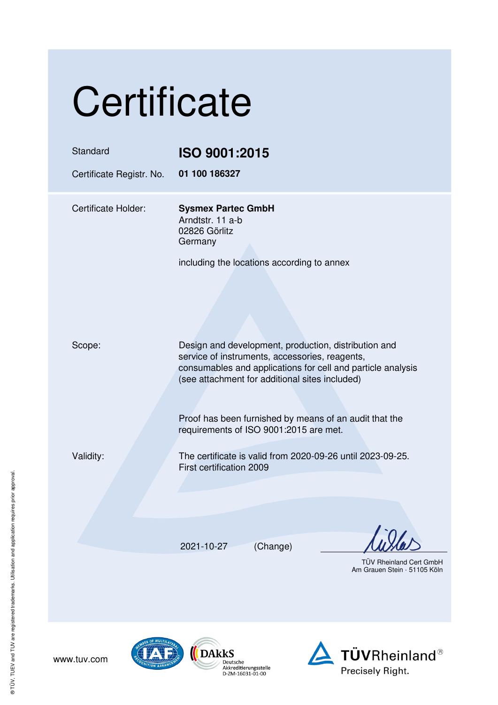| Certificate                          |                                                                                                                                                                                                                                                                                                                             |  |
|--------------------------------------|-----------------------------------------------------------------------------------------------------------------------------------------------------------------------------------------------------------------------------------------------------------------------------------------------------------------------------|--|
| Standard<br>Certificate Registr. No. | <b>ISO 9001:2015</b><br>01 100 186327                                                                                                                                                                                                                                                                                       |  |
| <b>Certificate Holder:</b>           | <b>Sysmex Partec GmbH</b><br>Arndtstr. 11 a-b<br>02826 Görlitz<br>Germany<br>including the locations according to annex                                                                                                                                                                                                     |  |
| Scope:                               | Design and development, production, distribution and<br>service of instruments, accessories, reagents,<br>consumables and applications for cell and particle analysis<br>(see attachment for additional sites included)<br>Proof has been furnished by means of an audit that the<br>requirements of ISO 9001:2015 are met. |  |
| Validity:                            | The certificate is valid from 2020-09-26 until 2023-09-25.<br>First certification 2009                                                                                                                                                                                                                                      |  |
|                                      | 2021-10-27<br>(Change)<br><b>TÜV Rheinland Cert GmbH</b><br>Am Grauen Stein · 51105 Kölr                                                                                                                                                                                                                                    |  |
| www.tuv.com                          | DAkkS<br><b>TÜVRheinland</b> ®<br>ditiorunasstolle                                                                                                                                                                                                                                                                          |  |

www.tuv.com

 $\bigcirc$  (DAkkS -----<br>Deutsche<br>Akkreditierungsstelle<br>D-ZM-16031-01-00